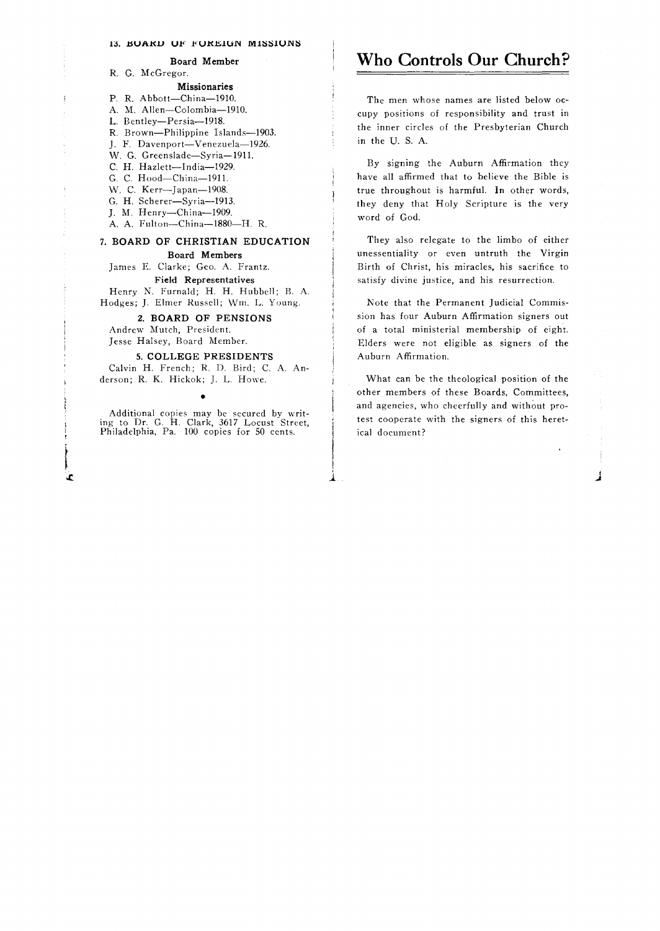## 13. BUAKD UF FUKEIUN MISSIUNS

Board Member

R. G. McGregor.

Missionaries

P. R. Abbott-China-1910.

- A. M. Allen-Colombia-1910.
- L. Bentley-Persia-1918.
- R. Brown-Philippine Islands-1903.
- J. F. Davenport-Venezuela-1926.
- W. G. Greenslade-Syria-1911.
- C. H. Hazlett-India-1929. G. C. Hood-China-1911.
- 
- W. C. Kerr-Japan-1908.
- G. H. Scherer-Syria-1913. J. M. Henry-China-1909.
- A. A. Fulton-China-1880-H. R.

# 7. BOARD OF CHRISTIAN EDUCATION

Board Members

James E. Clarke; Geo. A. Frantz. Field Representatives

Henry N. Furnald; H. H. Hubbell; B. A. Hodges; J. Elmer Russell; Wm. L. Young.

2. BOARD OF PENSIONS

Andrew Mutch, President. Jesse Halsey, Board Member.

Ŀ

## 5. COLLEGE PRESIDENTS

Calvin H. French; R. D. Bird; C. A. Anderson; R. K. Hickok; J. L. Howe.

Additional copies may be secured by writing to Dr. G. H. Clark, 3617 Locust Street, Philadelphia, Pa. 100 copies for 50 cents.

> !  $\downarrow$ .

•

## **Who Controls Our Church?**

The men whose names are listed below occupy positions of responsibility and trust in the inner circles of the Presbyterian Church in the U. S. A.

By signing the Auburn Affirmation they have all affirmed that to believe the Bible is true throughout is harmful. In other words, they deny that Holy Scripture is the very word of God.

They also relegate to the limbo of either unessentiality or even untruth the Virgin Birth of Christ, his miracles, his sacrifice to satisfy divine justice, and his resurrection.

Note that the Permanent Judicial Commission has four Auburn Affirmation signers out of a total ministerial membership of eight. Elders were not eligible as signers of the Auburn Affirmation.

What can be the theological position of the other members of these Boards, Committees, and agencies, who cheerfully and without protest cooperate with the signers of this heretical document?

J